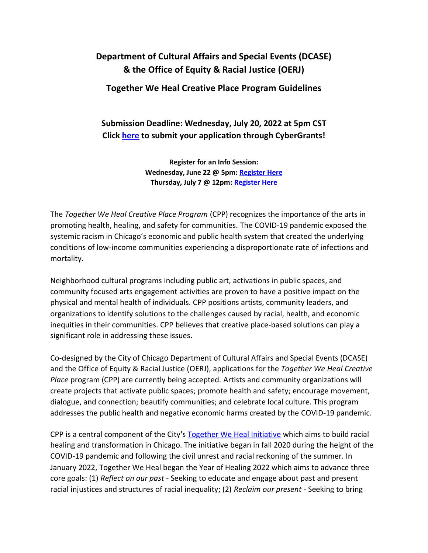# **Department of Cultural Affairs and Special Events (DCASE) & the Office of Equity & Racial Justice (OERJ)**

# **Together We Heal Creative Place Program Guidelines**

# **Submission Deadline: Wednesday, July 20, 2022 at 5pm CST Click [here](https://www.cybergrants.com/dcase/grants/2022TogetherWeHealCreativePlace) to submit your application through CyberGrants!**

**Register for an Info Session: Wednesday, June 22 @ 5pm: [Register Here](https://www.eventbrite.com/e/355166611897) Thursday, July 7 @ 12pm: [Register Here](https://www.eventbrite.com/e/2022-together-we-heal-creative-place-program-virtual-info-session-tickets-355157053307)**

The *Together We Heal Creative Place Program* (CPP) recognizes the importance of the arts in promoting health, healing, and safety for communities. The COVID-19 pandemic exposed the systemic racism in Chicago's economic and public health system that created the underlying conditions of low-income communities experiencing a disproportionate rate of infections and mortality.

Neighborhood cultural programs including public art, activations in public spaces, and community focused arts engagement activities are proven to have a positive impact on the physical and mental health of individuals. CPP positions artists, community leaders, and organizations to identify solutions to the challenges caused by racial, health, and economic inequities in their communities. CPP believes that creative place-based solutions can play a significant role in addressing these issues.

Co-designed by the City of Chicago Department of Cultural Affairs and Special Events (DCASE) and the Office of Equity & Racial Justice (OERJ), applications for the *Together We Heal Creative Place* program (CPP) are currently being accepted. Artists and community organizations will create projects that activate public spaces; promote health and safety; encourage movement, dialogue, and connection; beautify communities; and celebrate local culture. This program addresses the public health and negative economic harms created by the COVID-19 pandemic.

CPP is a central component of the City's [Together We Heal Initiative](https://www.chicago.gov/city/en/sites/together-we-heal/home.html) which aims to build racial healing and transformation in Chicago. The initiative began in fall 2020 during the height of the COVID-19 pandemic and following the civil unrest and racial reckoning of the summer. In January 2022, Together We Heal began the Year of Healing 2022 which aims to advance three core goals: (1) *Reflect on our past -* Seeking to educate and engage about past and present racial injustices and structures of racial inequality; (2) *Reclaim our present -* Seeking to bring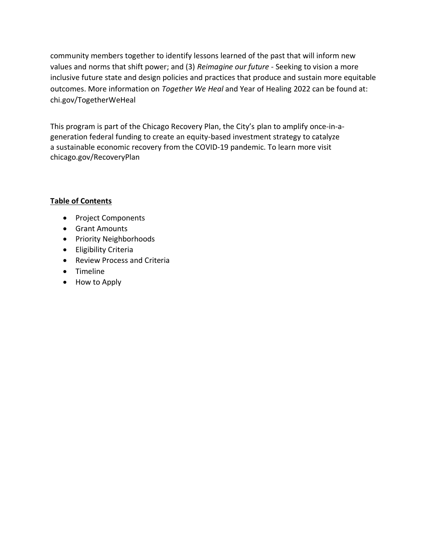community members together to identify lessons learned of the past that will inform new values and norms that shift power; and (3) *Reimagine our future -* Seeking to vision a more inclusive future state and design policies and practices that produce and sustain more equitable outcomes. More information on *Together We Heal* and Year of Healing 2022 can be found at: chi.gov/TogetherWeHeal

This program is part of the Chicago Recovery Plan, the City's plan to amplify once-in-ageneration federal funding to create an equity-based investment strategy to catalyze a sustainable economic recovery from the COVID-19 pandemic. To learn more visit [chicago.gov/RecoveryPlan](https://www.chicago.gov/city/en/sites/chicago-recovery-plan/home.html)

# **Table of Contents**

- Project Components
- Grant Amounts
- Priority Neighborhoods
- Eligibility Criteria
- Review Process and Criteria
- Timeline
- How to Apply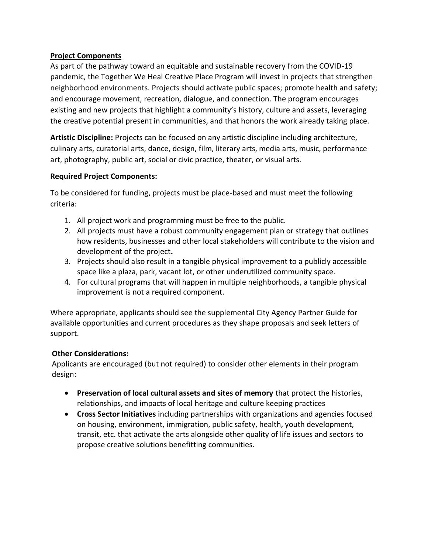### **Project Components**

As part of the pathway toward an equitable and sustainable recovery from the COVID-19 pandemic, the Together We Heal Creative Place Program will invest in projects that strengthen neighborhood environments. Projects should activate public spaces; promote health and safety; and encourage movement, recreation, dialogue, and connection. The program encourages existing and new projects that highlight a community's history, culture and assets, leveraging the creative potential present in communities, and that honors the work already taking place.

**Artistic Discipline:** Projects can be focused on any artistic discipline including architecture, culinary arts, curatorial arts, dance, design, film, literary arts, media arts, music, performance art, photography, public art, social or civic practice, theater, or visual arts.

#### **Required Project Components:**

To be considered for funding, projects must be place-based and must meet the following criteria:

- 1. All project work and programming must be free to the public.
- 2. All projects must have a robust community engagement plan or strategy that outlines how residents, businesses and other local stakeholders will contribute to the vision and development of the project**.**
- 3. Projects should also result in a tangible physical improvement to a publicly accessible space like a plaza, park, vacant lot, or other underutilized community space.
- 4. For cultural programs that will happen in multiple neighborhoods, a tangible physical improvement is not a required component.

Where appropriate, applicants should see the supplemental City Agency Partner Guide for available opportunities and current procedures as they shape proposals and seek letters of support.

#### **Other Considerations:**

Applicants are encouraged (but not required) to consider other elements in their program design:

- **Preservation of local cultural assets and sites of memory** that protect the histories, relationships, and impacts of local heritage and culture keeping practices
- **Cross Sector Initiatives** including partnerships with organizations and agencies focused on housing, environment, immigration, public safety, health, youth development, transit, etc. that activate the arts alongside other quality of life issues and sectors to propose creative solutions benefitting communities.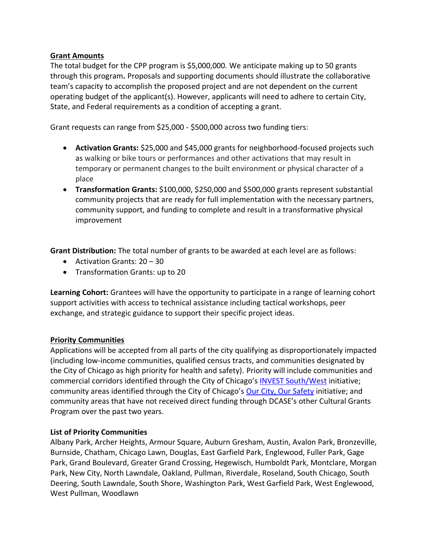#### **Grant Amounts**

The total budget for the CPP program is \$5,000,000. We anticipate making up to 50 grants through this program**.** Proposals and supporting documents should illustrate the collaborative team's capacity to accomplish the proposed project and are not dependent on the current operating budget of the applicant(s). However, applicants will need to adhere to certain City, State, and Federal requirements as a condition of accepting a grant.

Grant requests can range from \$25,000 - \$500,000 across two funding tiers:

- **Activation Grants:** \$25,000 and \$45,000 grants for neighborhood-focused projects such as walking or bike tours or performances and other activations that may result in temporary or permanent changes to the built environment or physical character of a place
- **Transformation Grants:** \$100,000, \$250,000 and \$500,000 grants represent substantial community projects that are ready for full implementation with the necessary partners, community support, and funding to complete and result in a transformative physical improvement

**Grant Distribution:** The total number of grants to be awarded at each level are as follows:

- Activation Grants: 20 30
- Transformation Grants: up to 20

**Learning Cohort:** Grantees will have the opportunity to participate in a range of learning cohort support activities with access to technical assistance including tactical workshops, peer exchange, and strategic guidance to support their specific project ideas.

#### **Priority Communities**

Applications will be accepted from all parts of the city qualifying as disproportionately impacted (including low-income communities, qualified census tracts, and communities designated by the City of Chicago as high priority for health and safety). Priority will include communities and commercial corridors identified through the City of Chicago's [INVEST South/West](https://www.chicago.gov/city/en/sites/invest_sw/home.html) initiative; community areas identified through the City of Chicago's [Our City, Our Safety](https://www.chicago.gov/city/en/sites/public-safety-and-violence-reduction/home/our-city-our-safety.html) initiative; and community areas that have not received direct funding through DCASE's other Cultural Grants Program over the past two years.

#### **List of Priority Communities**

Albany Park, Archer Heights, Armour Square, Auburn Gresham, Austin, Avalon Park, Bronzeville, Burnside, Chatham, Chicago Lawn, Douglas, East Garfield Park, Englewood, Fuller Park, Gage Park, Grand Boulevard, Greater Grand Crossing, Hegewisch, Humboldt Park, Montclare, Morgan Park, New City, North Lawndale, Oakland, Pullman, Riverdale, Roseland, South Chicago, South Deering, South Lawndale, South Shore, Washington Park, West Garfield Park, West Englewood, West Pullman, Woodlawn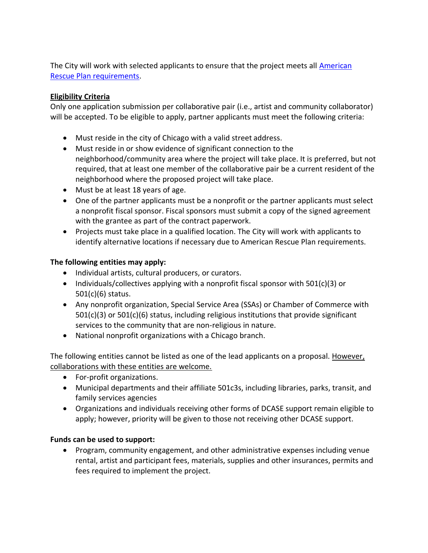The City will work with selected applicants to ensure that the project meets all [American](https://home.treasury.gov/policy-issues/coronavirus/assistance-for-state-local-and-tribal-governments/state-and-local-fiscal-recovery-funds)  [Rescue Plan requirements.](https://home.treasury.gov/policy-issues/coronavirus/assistance-for-state-local-and-tribal-governments/state-and-local-fiscal-recovery-funds)

### **Eligibility Criteria**

Only one application submission per collaborative pair (i.e., artist and community collaborator) will be accepted. To be eligible to apply, partner applicants must meet the following criteria:

- Must reside in the city of Chicago with a valid street address.
- Must reside in or show evidence of significant connection to the neighborhood/community area where the project will take place. It is preferred, but not required, that at least one member of the collaborative pair be a current resident of the neighborhood where the proposed project will take place.
- Must be at least 18 years of age.
- One of the partner applicants must be a nonprofit or the partner applicants must select a nonprofit fiscal sponsor. Fiscal sponsors must submit a copy of the signed agreement with the grantee as part of the contract paperwork.
- Projects must take place in a qualified location. The City will work with applicants to identify alternative locations if necessary due to American Rescue Plan requirements.

### **The following entities may apply:**

- Individual artists, cultural producers, or curators.
- Individuals/collectives applying with a nonprofit fiscal sponsor with 501(c)(3) or 501(c)(6) status.
- Any nonprofit organization, Special Service Area (SSAs) or Chamber of Commerce with 501(c)(3) or 501(c)(6) status, including religious institutions that provide significant services to the community that are non-religious in nature.
- National nonprofit organizations with a Chicago branch.

The following entities cannot be listed as one of the lead applicants on a proposal. However, collaborations with these entities are welcome.

- For-profit organizations.
- Municipal departments and their affiliate 501c3s, including libraries, parks, transit, and family services agencies
- Organizations and individuals receiving other forms of DCASE support remain eligible to apply; however, priority will be given to those not receiving other DCASE support.

### **Funds can be used to support:**

• Program, community engagement, and other administrative expenses including venue rental, artist and participant fees, materials, supplies and other insurances, permits and fees required to implement the project.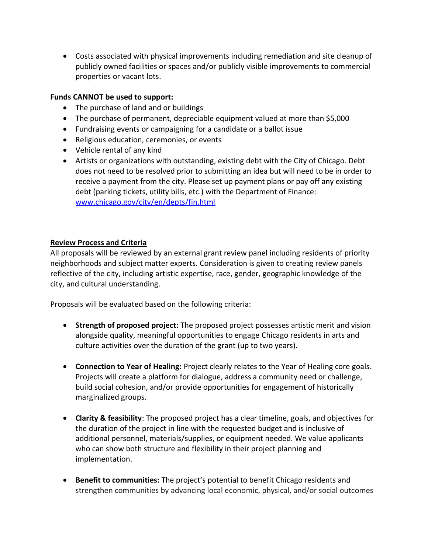• Costs associated with physical improvements including remediation and site cleanup of publicly owned facilities or spaces and/or publicly visible improvements to commercial properties or vacant lots.

#### **Funds CANNOT be used to support:**

- The purchase of land and or buildings
- The purchase of permanent, depreciable equipment valued at more than \$5,000
- Fundraising events or campaigning for a candidate or a ballot issue
- Religious education, ceremonies, or events
- Vehicle rental of any kind
- Artists or organizations with outstanding, existing debt with the City of Chicago. Debt does not need to be resolved prior to submitting an idea but will need to be in order to receive a payment from the city. Please set up payment plans or pay off any existing debt (parking tickets, utility bills, etc.) with the Department of Finance: [www.chicago.gov/city/en/depts/fin.html](https://www.chicago.gov/city/en/depts/fin.html)

#### **Review Process and Criteria**

All proposals will be reviewed by an external grant review panel including residents of priority neighborhoods and subject matter experts. Consideration is given to creating review panels reflective of the city, including artistic expertise, race, gender, geographic knowledge of the city, and cultural understanding.

Proposals will be evaluated based on the following criteria:

- **Strength of proposed project:** The proposed project possesses artistic merit and vision alongside quality, meaningful opportunities to engage Chicago residents in arts and culture activities over the duration of the grant (up to two years).
- **Connection to Year of Healing:** Project clearly relates to the Year of Healing core goals. Projects will create a platform for dialogue, address a community need or challenge, build social cohesion, and/or provide opportunities for engagement of historically marginalized groups.
- **Clarity & feasibility**: The proposed project has a clear timeline, goals, and objectives for the duration of the project in line with the requested budget and is inclusive of additional personnel, materials/supplies, or equipment needed. We value applicants who can show both structure and flexibility in their project planning and implementation.
- **Benefit to communities:** The project's potential to benefit Chicago residents and strengthen communities by advancing local economic, physical, and/or social outcomes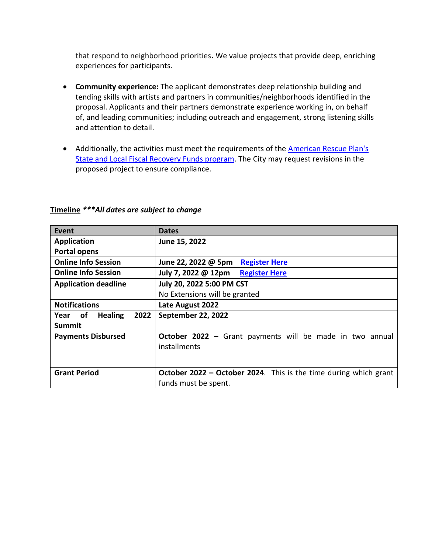that respond to neighborhood priorities**.** We value projects that provide deep, enriching experiences for participants.

- **Community experience:** The applicant demonstrates deep relationship building and tending skills with artists and partners in communities/neighborhoods identified in the proposal. Applicants and their partners demonstrate experience working in, on behalf of, and leading communities; including outreach and engagement, strong listening skills and attention to detail.
- Additionally, the activities must meet the requirements of the **American Rescue Plan's** [State and Local Fiscal Recovery Funds program.](https://home.treasury.gov/policy-issues/coronavirus/assistance-for-state-local-and-tribal-governments/state-and-local-fiscal-recovery-funds) The City may request revisions in the proposed project to ensure compliance.

| Event                             | <b>Dates</b>                                                             |
|-----------------------------------|--------------------------------------------------------------------------|
| <b>Application</b>                | June 15, 2022                                                            |
| <b>Portal opens</b>               |                                                                          |
| <b>Online Info Session</b>        | June 22, 2022 @ 5pm<br><b>Register Here</b>                              |
| <b>Online Info Session</b>        | July 7, 2022 @ 12pm<br><b>Register Here</b>                              |
| <b>Application deadline</b>       | July 20, 2022 5:00 PM CST                                                |
|                                   | No Extensions will be granted                                            |
| <b>Notifications</b>              | Late August 2022                                                         |
| <b>Healing</b><br>2022<br>Year of | September 22, 2022                                                       |
| <b>Summit</b>                     |                                                                          |
| <b>Payments Disbursed</b>         | October 2022 - Grant payments will be made in two annual                 |
|                                   | installments                                                             |
|                                   |                                                                          |
| <b>Grant Period</b>               | <b>October 2022 - October 2024</b> . This is the time during which grant |
|                                   | funds must be spent.                                                     |

# **Timeline** *\*\*\*All dates are subject to change*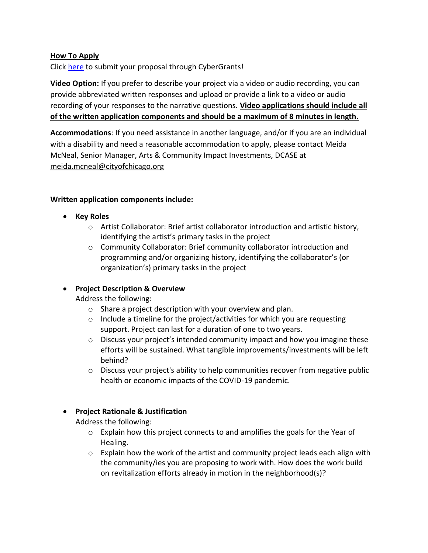#### **How To Apply**

Click [here](https://www.cybergrants.com/dcase/grants/2022TogetherWeHealCreativePlace) to submit your proposal through CyberGrants!

**Video Option:** If you prefer to describe your project via a video or audio recording, you can provide abbreviated written responses and upload or provide a link to a video or audio recording of your responses to the narrative questions. **Video applications should include all of the written application components and should be a maximum of 8 minutes in length.** 

**Accommodations**: If you need assistance in another language, and/or if you are an individual with a disability and need a reasonable accommodation to apply, please contact Meida McNeal, Senior Manager, Arts & Community Impact Investments, DCASE at [meida.mcneal@cityofchicago.org](mailto:meida.mcneal@cityofchicago.org)

#### **Written application components include:**

- **Key Roles** 
	- o Artist Collaborator: Brief artist collaborator introduction and artistic history, identifying the artist's primary tasks in the project
	- o Community Collaborator: Brief community collaborator introduction and programming and/or organizing history, identifying the collaborator's (or organization's) primary tasks in the project

### • **Project Description & Overview**

Address the following:

- o Share a project description with your overview and plan.
- o Include a timeline for the project/activities for which you are requesting support. Project can last for a duration of one to two years.
- $\circ$  Discuss your project's intended community impact and how you imagine these efforts will be sustained. What tangible improvements/investments will be left behind?
- o Discuss your project's ability to help communities recover from negative public health or economic impacts of the COVID-19 pandemic.

### • **Project Rationale & Justification**

Address the following:

- $\circ$  Explain how this project connects to and amplifies the goals for the Year of Healing.
- $\circ$  Explain how the work of the artist and community project leads each align with the community/ies you are proposing to work with. How does the work build on revitalization efforts already in motion in the neighborhood(s)?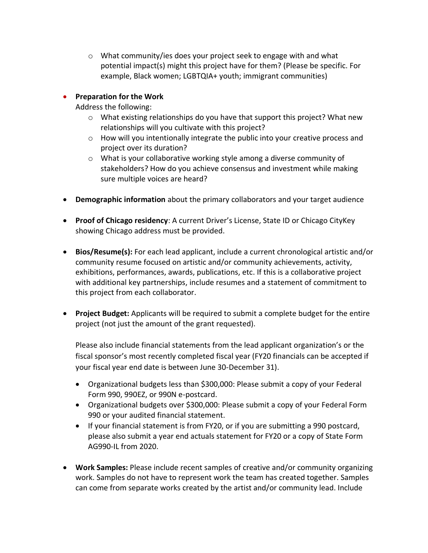o What community/ies does your project seek to engage with and what potential impact(s) might this project have for them? (Please be specific. For example, Black women; LGBTQIA+ youth; immigrant communities)

# • **Preparation for the Work**

Address the following:

- $\circ$  What existing relationships do you have that support this project? What new relationships will you cultivate with this project?
- o How will you intentionally integrate the public into your creative process and project over its duration?
- $\circ$  What is your collaborative working style among a diverse community of stakeholders? How do you achieve consensus and investment while making sure multiple voices are heard?
- **Demographic information** about the primary collaborators and your target audience
- **Proof of Chicago residency**: A current Driver's License, State ID or Chicago CityKey showing Chicago address must be provided.
- **Bios/Resume(s):** For each lead applicant, include a current chronological artistic and/or community resume focused on artistic and/or community achievements, activity, exhibitions, performances, awards, publications, etc. If this is a collaborative project with additional key partnerships, include resumes and a statement of commitment to this project from each collaborator.
- **Project Budget:** Applicants will be required to submit a complete budget for the entire project (not just the amount of the grant requested).

Please also include financial statements from the lead applicant organization's or the fiscal sponsor's most recently completed fiscal year (FY20 financials can be accepted if your fiscal year end date is between June 30-December 31).

- Organizational budgets less than \$300,000: Please submit a copy of your Federal Form 990, 990EZ, or 990N e-postcard.
- Organizational budgets over \$300,000: Please submit a copy of your Federal Form 990 or your audited financial statement.
- If your financial statement is from FY20, or if you are submitting a 990 postcard, please also submit a year end actuals statement for FY20 or a copy of State Form AG990-IL from 2020.
- **Work Samples:** Please include recent samples of creative and/or community organizing work. Samples do not have to represent work the team has created together. Samples can come from separate works created by the artist and/or community lead. Include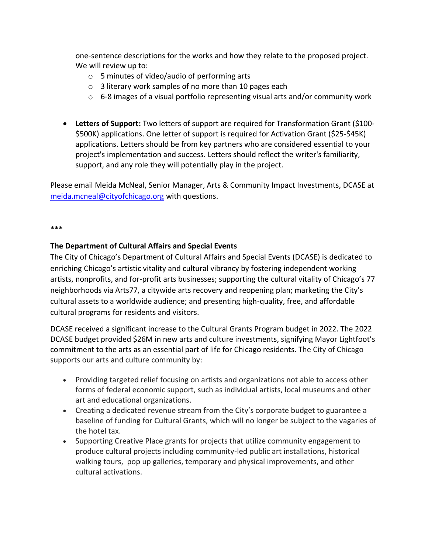one-sentence descriptions for the works and how they relate to the proposed project. We will review up to:

- o 5 minutes of video/audio of performing arts
- o 3 literary work samples of no more than 10 pages each
- $\circ$  6-8 images of a visual portfolio representing visual arts and/or community work
- **Letters of Support:** Two letters of support are required for Transformation Grant (\$100- \$500K) applications. One letter of support is required for Activation Grant (\$25-\$45K) applications. Letters should be from key partners who are considered essential to your project's implementation and success. Letters should reflect the writer's familiarity, support, and any role they will potentially play in the project.

Please email Meida McNeal, Senior Manager, Arts & Community Impact Investments, DCASE at [meida.mcneal@cityofchicago.org](mailto:meida.mcneal@cityofchicago.org) with questions.

#### **\*\*\***

### **The Department of Cultural Affairs and Special Events**

The City of Chicago's Department of Cultural Affairs and Special Events (DCASE) is dedicated to enriching Chicago's artistic vitality and cultural vibrancy by fostering independent working artists, nonprofits, and for-profit arts businesses; supporting the cultural vitality of Chicago's 77 neighborhoods via Arts77, a citywide arts recovery and reopening plan; marketing the City's cultural assets to a worldwide audience; and presenting high-quality, free, and affordable cultural programs for residents and visitors.

DCASE received a significant increase to the Cultural Grants Program budget in 2022. The 2022 DCASE budget provided \$26M in new arts and culture investments, signifying Mayor Lightfoot's commitment to the arts as an essential part of life for Chicago residents. The City of Chicago supports our arts and culture community by:

- Providing targeted relief focusing on artists and organizations not able to access other forms of federal economic support, such as individual artists, local museums and other art and educational organizations.
- Creating a dedicated revenue stream from the City's corporate budget to guarantee a baseline of funding for Cultural Grants, which will no longer be subject to the vagaries of the hotel tax.
- Supporting Creative Place grants for projects that utilize community engagement to produce cultural projects including community-led public art installations, historical walking tours, pop up galleries, temporary and physical improvements, and other cultural activations.